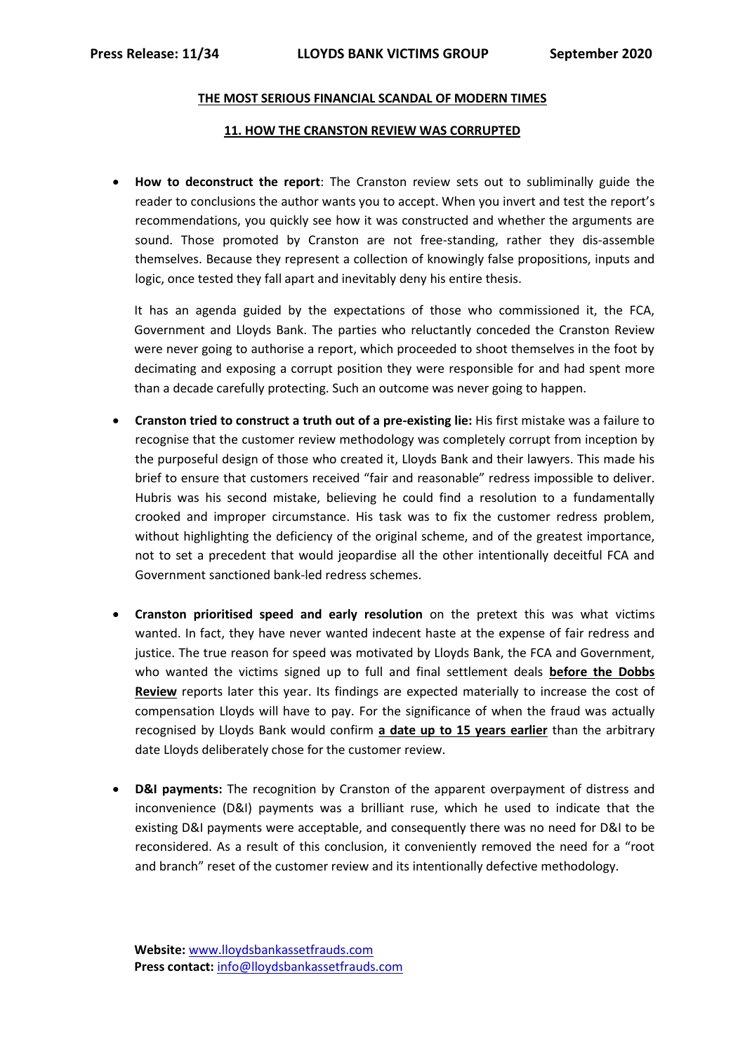## **THE MOST SERIOUS FINANCIAL SCANDAL OF MODERN TIMES**

## **11. HOW THE CRANSTON REVIEW WAS CORRUPTED**

 **How to deconstruct the report**: The Cranston review sets out to subliminally guide the reader to conclusions the author wants you to accept. When you invert and test the report's recommendations, you quickly see how it was constructed and whether the arguments are sound. Those promoted by Cranston are not free-standing, rather they dis-assemble themselves. Because they represent a collection of knowingly false propositions, inputs and logic, once tested they fall apart and inevitably deny his entire thesis.

It has an agenda guided by the expectations of those who commissioned it, the FCA, Government and Lloyds Bank. The parties who reluctantly conceded the Cranston Review were never going to authorise a report, which proceeded to shoot themselves in the foot by decimating and exposing a corrupt position they were responsible for and had spent more than a decade carefully protecting. Such an outcome was never going to happen.

- **Cranston tried to construct a truth out of a pre-existing lie:** His first mistake was a failure to recognise that the customer review methodology was completely corrupt from inception by the purposeful design of those who created it, Lloyds Bank and their lawyers. This made his brief to ensure that customers received "fair and reasonable" redress impossible to deliver. Hubris was his second mistake, believing he could find a resolution to a fundamentally crooked and improper circumstance. His task was to fix the customer redress problem, without highlighting the deficiency of the original scheme, and of the greatest importance, not to set a precedent that would jeopardise all the other intentionally deceitful FCA and Government sanctioned bank-led redress schemes.
- **Cranston prioritised speed and early resolution** on the pretext this was what victims wanted. In fact, they have never wanted indecent haste at the expense of fair redress and justice. The true reason for speed was motivated by Lloyds Bank, the FCA and Government, who wanted the victims signed up to full and final settlement deals **before the Dobbs Review** reports later this year. Its findings are expected materially to increase the cost of compensation Lloyds will have to pay. For the significance of when the fraud was actually recognised by Lloyds Bank would confirm **a date up to 15 years earlier** than the arbitrary date Lloyds deliberately chose for the customer review.
- **D&I payments:** The recognition by Cranston of the apparent overpayment of distress and inconvenience (D&I) payments was a brilliant ruse, which he used to indicate that the existing D&I payments were acceptable, and consequently there was no need for D&I to be reconsidered. As a result of this conclusion, it conveniently removed the need for a "root and branch" reset of the customer review and its intentionally defective methodology.